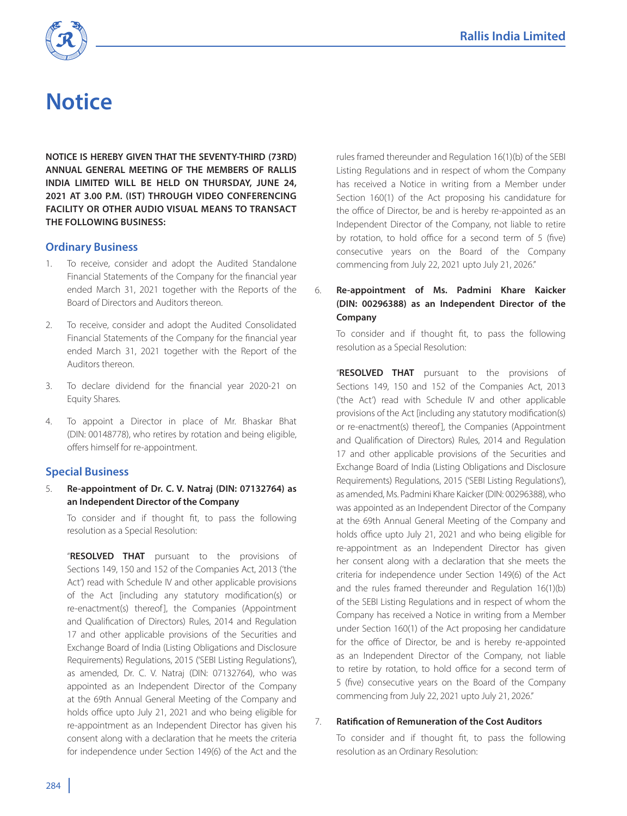

# **Notice**

**NOTICE IS HEREBY GIVEN THAT THE SEVENTY-THIRD (73RD) ANNUAL GENERAL MEETING OF THE MEMBERS OF RALLIS INDIA LIMITED WILL BE HELD ON THURSDAY, JUNE 24, 2021 AT 3.00 P.M. (IST) THROUGH VIDEO CONFERENCING FACILITY OR OTHER AUDIO VISUAL MEANS TO TRANSACT THE FOLLOWING BUSINESS:**

# **Ordinary Business**

- 1. To receive, consider and adopt the Audited Standalone Financial Statements of the Company for the financial year ended March 31, 2021 together with the Reports of the Board of Directors and Auditors thereon.
- 2. To receive, consider and adopt the Audited Consolidated Financial Statements of the Company for the financial year ended March 31, 2021 together with the Report of the Auditors thereon.
- 3. To declare dividend for the financial year 2020-21 on Equity Shares.
- 4. To appoint a Director in place of Mr. Bhaskar Bhat (DIN: 00148778), who retires by rotation and being eligible, offers himself for re-appointment.

# **Special Business**

5. **Re-appointment of Dr. C. V. Natraj (DIN: 07132764) as an Independent Director of the Company**

 To consider and if thought fit, to pass the following resolution as a Special Resolution:

 "**RESOLVED THAT** pursuant to the provisions of Sections 149, 150 and 152 of the Companies Act, 2013 ('the Act') read with Schedule IV and other applicable provisions of the Act [including any statutory modification(s) or re-enactment(s) thereof], the Companies (Appointment and Qualification of Directors) Rules, 2014 and Regulation 17 and other applicable provisions of the Securities and Exchange Board of India (Listing Obligations and Disclosure Requirements) Regulations, 2015 ('SEBI Listing Regulations'), as amended, Dr. C. V. Natraj (DIN: 07132764), who was appointed as an Independent Director of the Company at the 69th Annual General Meeting of the Company and holds office upto July 21, 2021 and who being eligible for re-appointment as an Independent Director has given his consent along with a declaration that he meets the criteria for independence under Section 149(6) of the Act and the

rules framed thereunder and Regulation 16(1)(b) of the SEBI Listing Regulations and in respect of whom the Company has received a Notice in writing from a Member under Section 160(1) of the Act proposing his candidature for the office of Director, be and is hereby re-appointed as an Independent Director of the Company, not liable to retire by rotation, to hold office for a second term of 5 (five) consecutive years on the Board of the Company commencing from July 22, 2021 upto July 21, 2026."

# 6. **Re-appointment of Ms. Padmini Khare Kaicker (DIN: 00296388) as an Independent Director of the Company**

 To consider and if thought fit, to pass the following resolution as a Special Resolution:

 "**RESOLVED THAT** pursuant to the provisions of Sections 149, 150 and 152 of the Companies Act, 2013 ('the Act') read with Schedule IV and other applicable provisions of the Act [including any statutory modification(s) or re-enactment(s) thereof], the Companies (Appointment and Qualification of Directors) Rules, 2014 and Regulation 17 and other applicable provisions of the Securities and Exchange Board of India (Listing Obligations and Disclosure Requirements) Regulations, 2015 ('SEBI Listing Regulations'), as amended, Ms. Padmini Khare Kaicker (DIN: 00296388), who was appointed as an Independent Director of the Company at the 69th Annual General Meeting of the Company and holds office upto July 21, 2021 and who being eligible for re-appointment as an Independent Director has given her consent along with a declaration that she meets the criteria for independence under Section 149(6) of the Act and the rules framed thereunder and Regulation 16(1)(b) of the SEBI Listing Regulations and in respect of whom the Company has received a Notice in writing from a Member under Section 160(1) of the Act proposing her candidature for the office of Director, be and is hereby re-appointed as an Independent Director of the Company, not liable to retire by rotation, to hold office for a second term of 5 (five) consecutive years on the Board of the Company commencing from July 22, 2021 upto July 21, 2026."

## 7. **Ratification of Remuneration of the Cost Auditors**

 To consider and if thought fit, to pass the following resolution as an Ordinary Resolution: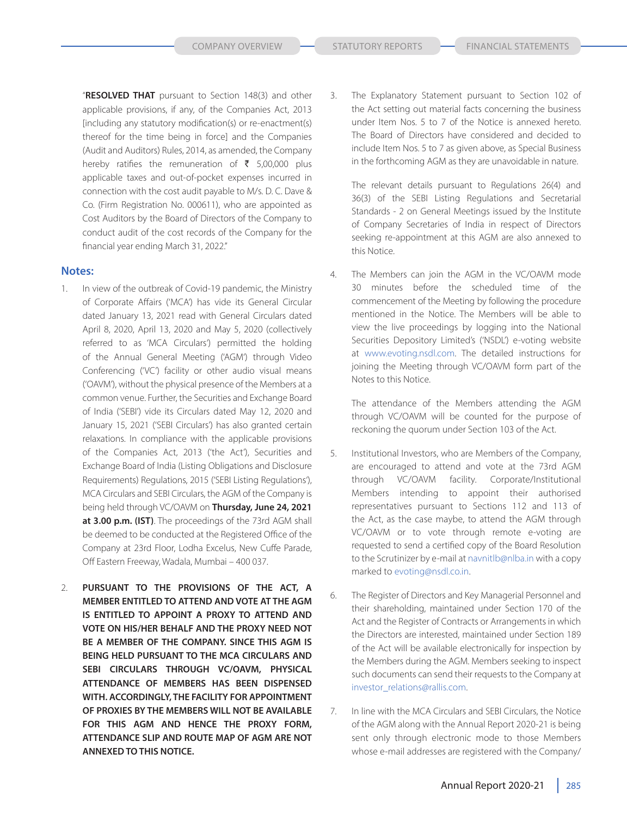"**RESOLVED THAT** pursuant to Section 148(3) and other applicable provisions, if any, of the Companies Act, 2013 [including any statutory modification(s) or re-enactment(s) thereof for the time being in force] and the Companies (Audit and Auditors) Rules, 2014, as amended, the Company hereby ratifies the remuneration of  $\bar{\tau}$  5,00,000 plus applicable taxes and out-of-pocket expenses incurred in connection with the cost audit payable to M/s. D. C. Dave & Co. (Firm Registration No. 000611), who are appointed as Cost Auditors by the Board of Directors of the Company to conduct audit of the cost records of the Company for the financial year ending March 31, 2022."

# **Notes:**

- 1. In view of the outbreak of Covid-19 pandemic, the Ministry of Corporate Affairs ('MCA') has vide its General Circular dated January 13, 2021 read with General Circulars dated April 8, 2020, April 13, 2020 and May 5, 2020 (collectively referred to as 'MCA Circulars') permitted the holding of the Annual General Meeting ('AGM') through Video Conferencing ('VC') facility or other audio visual means ('OAVM'), without the physical presence of the Members at a common venue. Further, the Securities and Exchange Board of India ('SEBI') vide its Circulars dated May 12, 2020 and January 15, 2021 ('SEBI Circulars') has also granted certain relaxations. In compliance with the applicable provisions of the Companies Act, 2013 ('the Act'), Securities and Exchange Board of India (Listing Obligations and Disclosure Requirements) Regulations, 2015 ('SEBI Listing Regulations'), MCA Circulars and SEBI Circulars, the AGM of the Company is being held through VC/OAVM on **Thursday, June 24, 2021 at 3.00 p.m. (IST)**. The proceedings of the 73rd AGM shall be deemed to be conducted at the Registered Office of the Company at 23rd Floor, Lodha Excelus, New Cuffe Parade, Off Eastern Freeway, Wadala, Mumbai – 400 037.
- 2. **PURSUANT TO THE PROVISIONS OF THE ACT, A MEMBER ENTITLED TO ATTEND AND VOTE AT THE AGM IS ENTITLED TO APPOINT A PROXY TO ATTEND AND VOTE ON HIS/HER BEHALF AND THE PROXY NEED NOT BE A MEMBER OF THE COMPANY. SINCE THIS AGM IS BEING HELD PURSUANT TO THE MCA CIRCULARS AND SEBI CIRCULARS THROUGH VC/OAVM, PHYSICAL ATTENDANCE OF MEMBERS HAS BEEN DISPENSED WITH. ACCORDINGLY, THE FACILITY FOR APPOINTMENT OF PROXIES BY THE MEMBERS WILL NOT BE AVAILABLE FOR THIS AGM AND HENCE THE PROXY FORM, ATTENDANCE SLIP AND ROUTE MAP OF AGM ARE NOT ANNEXED TO THIS NOTICE.**

3. The Explanatory Statement pursuant to Section 102 of the Act setting out material facts concerning the business under Item Nos. 5 to 7 of the Notice is annexed hereto. The Board of Directors have considered and decided to include Item Nos. 5 to 7 as given above, as Special Business in the forthcoming AGM as they are unavoidable in nature.

 The relevant details pursuant to Regulations 26(4) and 36(3) of the SEBI Listing Regulations and Secretarial Standards - 2 on General Meetings issued by the Institute of Company Secretaries of India in respect of Directors seeking re-appointment at this AGM are also annexed to this Notice.

4. The Members can join the AGM in the VC/OAVM mode 30 minutes before the scheduled time of the commencement of the Meeting by following the procedure mentioned in the Notice. The Members will be able to view the live proceedings by logging into the National Securities Depository Limited's ('NSDL') e-voting website at www.evoting.nsdl.com. The detailed instructions for joining the Meeting through VC/OAVM form part of the Notes to this Notice.

 The attendance of the Members attending the AGM through VC/OAVM will be counted for the purpose of reckoning the quorum under Section 103 of the Act.

- 5. Institutional Investors, who are Members of the Company, are encouraged to attend and vote at the 73rd AGM through VC/OAVM facility. Corporate/Institutional Members intending to appoint their authorised representatives pursuant to Sections 112 and 113 of the Act, as the case maybe, to attend the AGM through VC/OAVM or to vote through remote e-voting are requested to send a certified copy of the Board Resolution to the Scrutinizer by e-mail at navnitlb@nlba.in with a copy marked to evoting@nsdl.co.in.
- 6. The Register of Directors and Key Managerial Personnel and their shareholding, maintained under Section 170 of the Act and the Register of Contracts or Arrangements in which the Directors are interested, maintained under Section 189 of the Act will be available electronically for inspection by the Members during the AGM. Members seeking to inspect such documents can send their requests to the Company at investor\_relations@rallis.com.
- 7. In line with the MCA Circulars and SEBI Circulars, the Notice of the AGM along with the Annual Report 2020-21 is being sent only through electronic mode to those Members whose e-mail addresses are registered with the Company/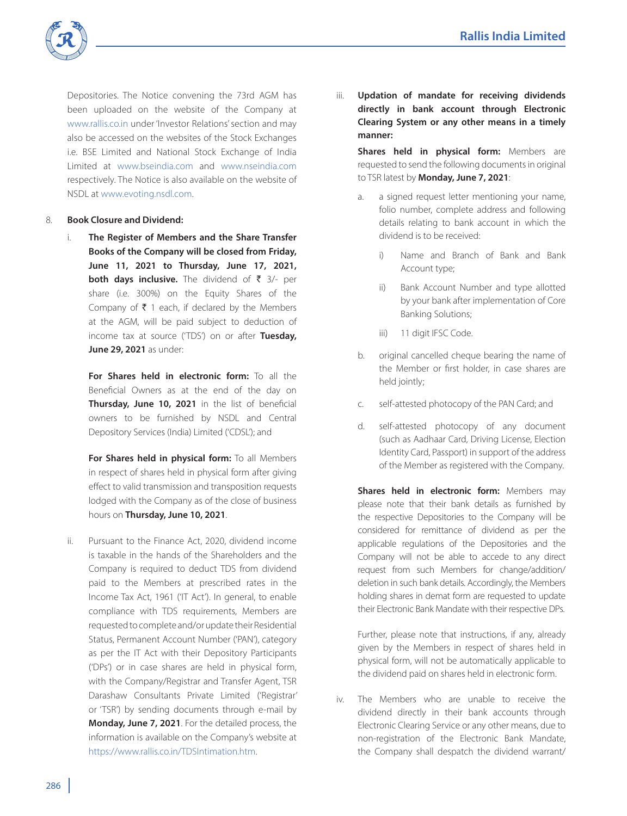

Depositories. The Notice convening the 73rd AGM has been uploaded on the website of the Company at www.rallis.co.in under 'Investor Relations' section and may also be accessed on the websites of the Stock Exchanges i.e. BSE Limited and National Stock Exchange of India Limited at www.bseindia.com and www.nseindia.com respectively. The Notice is also available on the website of NSDL at www.evoting.nsdl.com.

## 8. **Book Closure and Dividend:**

i. **The Register of Members and the Share Transfer Books of the Company will be closed from Friday, June 11, 2021 to Thursday, June 17, 2021, both days inclusive.** The dividend of ₹ 3/- per share (i.e. 300%) on the Equity Shares of the Company of  $\bar{\tau}$  1 each, if declared by the Members at the AGM, will be paid subject to deduction of income tax at source ('TDS') on or after **Tuesday, June 29, 2021** as under:

 **For Shares held in electronic form:** To all the Beneficial Owners as at the end of the day on **Thursday, June 10, 2021** in the list of beneficial owners to be furnished by NSDL and Central Depository Services (India) Limited ('CDSL'); and

 **For Shares held in physical form:** To all Members in respect of shares held in physical form after giving effect to valid transmission and transposition requests lodged with the Company as of the close of business hours on **Thursday, June 10, 2021**.

ii. Pursuant to the Finance Act, 2020, dividend income is taxable in the hands of the Shareholders and the Company is required to deduct TDS from dividend paid to the Members at prescribed rates in the Income Tax Act, 1961 ('IT Act'). In general, to enable compliance with TDS requirements, Members are requested to complete and/or update their Residential Status, Permanent Account Number ('PAN'), category as per the IT Act with their Depository Participants ('DPs') or in case shares are held in physical form, with the Company/Registrar and Transfer Agent, TSR Darashaw Consultants Private Limited ('Registrar' or 'TSR') by sending documents through e-mail by **Monday, June 7, 2021**. For the detailed process, the information is available on the Company's website at https://www.rallis.co.in/TDSIntimation.htm.

iii. **Updation of mandate for receiving dividends directly in bank account through Electronic Clearing System or any other means in a timely manner:**

 **Shares held in physical form:** Members are requested to send the following documents in original to TSR latest by **Monday, June 7, 2021**:

- a. a signed request letter mentioning your name, folio number, complete address and following details relating to bank account in which the dividend is to be received:
	- i) Name and Branch of Bank and Bank Account type;
	- ii) Bank Account Number and type allotted by your bank after implementation of Core Banking Solutions;
	- iii) 11 digit IFSC Code.
- b. original cancelled cheque bearing the name of the Member or first holder, in case shares are held jointly;
- c. self-attested photocopy of the PAN Card; and
- d. self-attested photocopy of any document (such as Aadhaar Card, Driving License, Election Identity Card, Passport) in support of the address of the Member as registered with the Company.

 **Shares held in electronic form:** Members may please note that their bank details as furnished by the respective Depositories to the Company will be considered for remittance of dividend as per the applicable regulations of the Depositories and the Company will not be able to accede to any direct request from such Members for change/addition/ deletion in such bank details. Accordingly, the Members holding shares in demat form are requested to update their Electronic Bank Mandate with their respective DPs.

 Further, please note that instructions, if any, already given by the Members in respect of shares held in physical form, will not be automatically applicable to the dividend paid on shares held in electronic form.

iv. The Members who are unable to receive the dividend directly in their bank accounts through Electronic Clearing Service or any other means, due to non-registration of the Electronic Bank Mandate, the Company shall despatch the dividend warrant/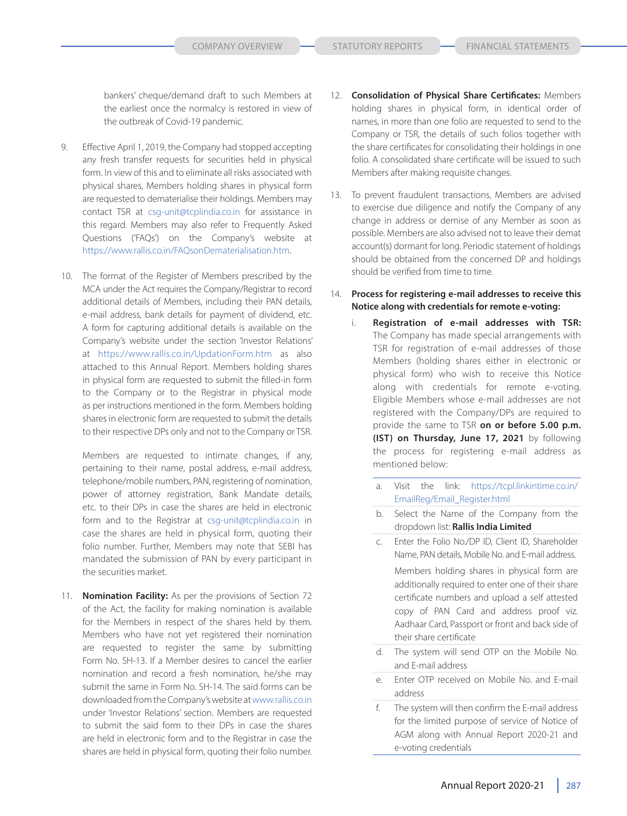bankers' cheque/demand draft to such Members at the earliest once the normalcy is restored in view of the outbreak of Covid-19 pandemic.

- 9. Effective April 1, 2019, the Company had stopped accepting any fresh transfer requests for securities held in physical form. In view of this and to eliminate all risks associated with physical shares, Members holding shares in physical form are requested to dematerialise their holdings. Members may contact TSR at csg-unit@tcplindia.co.in for assistance in this regard. Members may also refer to Frequently Asked Questions ('FAQs') on the Company's website at https://www.rallis.co.in/FAQsonDematerialisation.htm.
- 10. The format of the Register of Members prescribed by the MCA under the Act requires the Company/Registrar to record additional details of Members, including their PAN details, e-mail address, bank details for payment of dividend, etc. A form for capturing additional details is available on the Company's website under the section 'Investor Relations' at https://www.rallis.co.in/UpdationForm.htm as also attached to this Annual Report. Members holding shares in physical form are requested to submit the filled-in form to the Company or to the Registrar in physical mode as per instructions mentioned in the form. Members holding shares in electronic form are requested to submit the details to their respective DPs only and not to the Company or TSR.

 Members are requested to intimate changes, if any, pertaining to their name, postal address, e-mail address, telephone/mobile numbers, PAN, registering of nomination, power of attorney registration, Bank Mandate details, etc. to their DPs in case the shares are held in electronic form and to the Registrar at csg-unit@tcplindia.co.in in case the shares are held in physical form, quoting their folio number. Further, Members may note that SEBI has mandated the submission of PAN by every participant in the securities market.

11. **Nomination Facility:** As per the provisions of Section 72 of the Act, the facility for making nomination is available for the Members in respect of the shares held by them. Members who have not yet registered their nomination are requested to register the same by submitting Form No. SH-13. If a Member desires to cancel the earlier nomination and record a fresh nomination, he/she may submit the same in Form No. SH-14. The said forms can be downloaded from the Company's website at www.rallis.co.in under 'Investor Relations' section. Members are requested to submit the said form to their DPs in case the shares are held in electronic form and to the Registrar in case the shares are held in physical form, quoting their folio number.

- 12. **Consolidation of Physical Share Certificates:** Members holding shares in physical form, in identical order of names, in more than one folio are requested to send to the Company or TSR, the details of such folios together with the share certificates for consolidating their holdings in one folio. A consolidated share certificate will be issued to such Members after making requisite changes.
- 13. To prevent fraudulent transactions, Members are advised to exercise due diligence and notify the Company of any change in address or demise of any Member as soon as possible. Members are also advised not to leave their demat account(s) dormant for long. Periodic statement of holdings should be obtained from the concerned DP and holdings should be verified from time to time.
- 14. **Process for registering e-mail addresses to receive this Notice along with credentials for remote e-voting:**
	- i. **Registration of e-mail addresses with TSR:**  The Company has made special arrangements with TSR for registration of e-mail addresses of those Members (holding shares either in electronic or physical form) who wish to receive this Notice along with credentials for remote e-voting. Eligible Members whose e-mail addresses are not registered with the Company/DPs are required to provide the same to TSR **on or before 5.00 p.m. (IST) on Thursday, June 17, 2021** by following the process for registering e-mail address as mentioned below:
		- a. Visit the link: https://tcpl.linkintime.co.in/ EmailReg/Email\_Register.html
		- b. Select the Name of the Company from the dropdown list: **Rallis India Limited**
		- c. Enter the Folio No./DP ID, Client ID, Shareholder Name, PAN details, Mobile No. and E-mail address. Members holding shares in physical form are additionally required to enter one of their share certificate numbers and upload a self attested copy of PAN Card and address proof viz. Aadhaar Card, Passport or front and back side of their share certificate
		- d. The system will send OTP on the Mobile No. and E-mail address
		- e. Enter OTP received on Mobile No. and E-mail address
		- f. The system will then confirm the E-mail address for the limited purpose of service of Notice of AGM along with Annual Report 2020-21 and e-voting credentials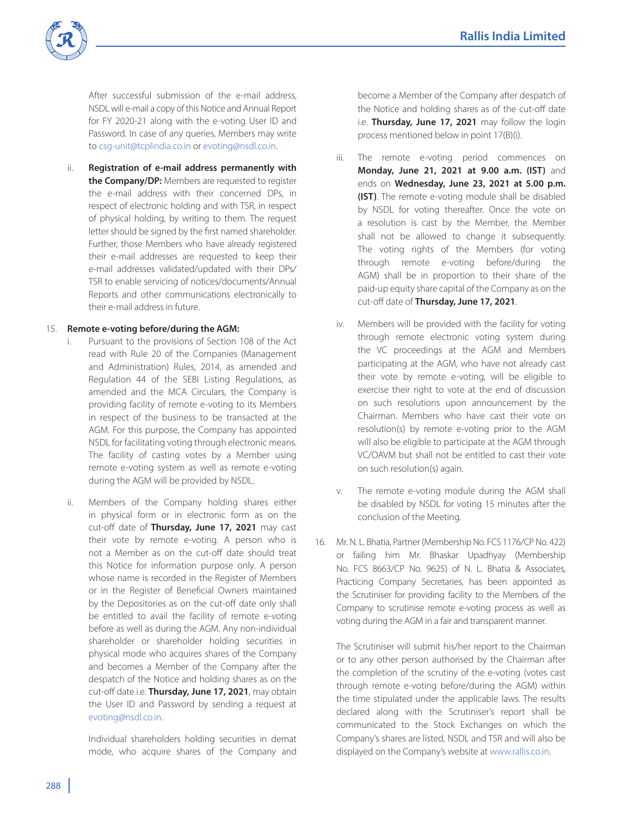

 After successful submission of the e-mail address, NSDL will e-mail a copy of this Notice and Annual Report for FY 2020-21 along with the e-voting User ID and Password. In case of any queries, Members may write to csg-unit@tcplindia.co.in or evoting@nsdl.co.in.

ii. **Registration of e-mail address permanently with the Company/DP:** Members are requested to register the e-mail address with their concerned DPs, in respect of electronic holding and with TSR, in respect of physical holding, by writing to them. The request letter should be signed by the first named shareholder. Further, those Members who have already registered their e-mail addresses are requested to keep their e-mail addresses validated/updated with their DPs/ TSR to enable servicing of notices/documents/Annual Reports and other communications electronically to their e-mail address in future.

## 15. **Remote e-voting before/during the AGM:**

- i. Pursuant to the provisions of Section 108 of the Act read with Rule 20 of the Companies (Management and Administration) Rules, 2014, as amended and Regulation 44 of the SEBI Listing Regulations, as amended and the MCA Circulars, the Company is providing facility of remote e-voting to its Members in respect of the business to be transacted at the AGM. For this purpose, the Company has appointed NSDL for facilitating voting through electronic means. The facility of casting votes by a Member using remote e-voting system as well as remote e-voting during the AGM will be provided by NSDL.
- ii. Members of the Company holding shares either in physical form or in electronic form as on the cut-off date of **Thursday, June 17, 2021** may cast their vote by remote e-voting. A person who is not a Member as on the cut-off date should treat this Notice for information purpose only. A person whose name is recorded in the Register of Members or in the Register of Beneficial Owners maintained by the Depositories as on the cut-off date only shall be entitled to avail the facility of remote e-voting before as well as during the AGM. Any non-individual shareholder or shareholder holding securities in physical mode who acquires shares of the Company and becomes a Member of the Company after the despatch of the Notice and holding shares as on the cut-off date i.e. **Thursday, June 17, 2021**, may obtain the User ID and Password by sending a request at evoting@nsdl.co.in.

 Individual shareholders holding securities in demat mode, who acquire shares of the Company and

become a Member of the Company after despatch of the Notice and holding shares as of the cut-off date i.e. **Thursday, June 17, 2021** may follow the login process mentioned below in point 17(B)(i).

- iii. The remote e-voting period commences on **Monday, June 21, 2021 at 9.00 a.m. (IST)** and ends on **Wednesday, June 23, 2021 at 5.00 p.m. (IST)**. The remote e-voting module shall be disabled by NSDL for voting thereafter. Once the vote on a resolution is cast by the Member, the Member shall not be allowed to change it subsequently. The voting rights of the Members (for voting through remote e-voting before/during the AGM) shall be in proportion to their share of the paid-up equity share capital of the Company as on the cut-off date of **Thursday, June 17, 2021**.
- iv. Members will be provided with the facility for voting through remote electronic voting system during the VC proceedings at the AGM and Members participating at the AGM, who have not already cast their vote by remote e-voting, will be eligible to exercise their right to vote at the end of discussion on such resolutions upon announcement by the Chairman. Members who have cast their vote on resolution(s) by remote e-voting prior to the AGM will also be eligible to participate at the AGM through VC/OAVM but shall not be entitled to cast their vote on such resolution(s) again.
- v. The remote e-voting module during the AGM shall be disabled by NSDL for voting 15 minutes after the conclusion of the Meeting.
- 16. Mr. N. L. Bhatia, Partner (Membership No. FCS 1176/CP No. 422) or failing him Mr. Bhaskar Upadhyay (Membership No. FCS 8663/CP No. 9625) of N. L. Bhatia & Associates, Practicing Company Secretaries, has been appointed as the Scrutiniser for providing facility to the Members of the Company to scrutinise remote e-voting process as well as voting during the AGM in a fair and transparent manner.

 The Scrutiniser will submit his/her report to the Chairman or to any other person authorised by the Chairman after the completion of the scrutiny of the e-voting (votes cast through remote e-voting before/during the AGM) within the time stipulated under the applicable laws. The results declared along with the Scrutiniser's report shall be communicated to the Stock Exchanges on which the Company's shares are listed, NSDL and TSR and will also be displayed on the Company's website at www.rallis.co.in.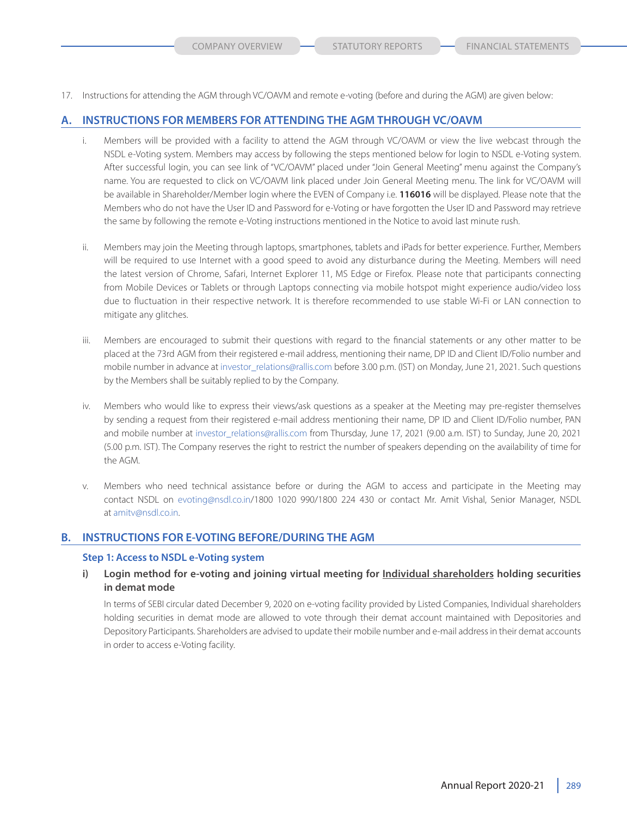17. Instructions for attending the AGM through VC/OAVM and remote e-voting (before and during the AGM) are given below:

## **A. INSTRUCTIONS FOR MEMBERS FOR ATTENDING THE AGM THROUGH VC/OAVM**

- i. Members will be provided with a facility to attend the AGM through VC/OAVM or view the live webcast through the NSDL e-Voting system. Members may access by following the steps mentioned below for login to NSDL e-Voting system. After successful login, you can see link of "VC/OAVM" placed under "Join General Meeting" menu against the Company's name. You are requested to click on VC/OAVM link placed under Join General Meeting menu. The link for VC/OAVM will be available in Shareholder/Member login where the EVEN of Company i.e. **116016** will be displayed. Please note that the Members who do not have the User ID and Password for e-Voting or have forgotten the User ID and Password may retrieve the same by following the remote e-Voting instructions mentioned in the Notice to avoid last minute rush.
- ii. Members may join the Meeting through laptops, smartphones, tablets and iPads for better experience. Further, Members will be required to use Internet with a good speed to avoid any disturbance during the Meeting. Members will need the latest version of Chrome, Safari, Internet Explorer 11, MS Edge or Firefox. Please note that participants connecting from Mobile Devices or Tablets or through Laptops connecting via mobile hotspot might experience audio/video loss due to fluctuation in their respective network. It is therefore recommended to use stable Wi-Fi or LAN connection to mitigate any glitches.
- iii. Members are encouraged to submit their questions with regard to the financial statements or any other matter to be placed at the 73rd AGM from their registered e-mail address, mentioning their name, DP ID and Client ID/Folio number and mobile number in advance at investor\_relations@rallis.com before 3.00 p.m. (IST) on Monday, June 21, 2021. Such questions by the Members shall be suitably replied to by the Company.
- iv. Members who would like to express their views/ask questions as a speaker at the Meeting may pre-register themselves by sending a request from their registered e-mail address mentioning their name, DP ID and Client ID/Folio number, PAN and mobile number at investor\_relations@rallis.com from Thursday, June 17, 2021 (9.00 a.m. IST) to Sunday, June 20, 2021 (5.00 p.m. IST). The Company reserves the right to restrict the number of speakers depending on the availability of time for the AGM.
- v. Members who need technical assistance before or during the AGM to access and participate in the Meeting may contact NSDL on evoting@nsdl.co.in/1800 1020 990/1800 224 430 or contact Mr. Amit Vishal, Senior Manager, NSDL at amitv@nsdl.co.in.

# **B. INSTRUCTIONS FOR E-VOTING BEFORE/DURING THE AGM**

## **Step 1: Access to NSDL e-Voting system**

**i) Login method for e-voting and joining virtual meeting for Individual shareholders holding securities in demat mode**

 In terms of SEBI circular dated December 9, 2020 on e-voting facility provided by Listed Companies, Individual shareholders holding securities in demat mode are allowed to vote through their demat account maintained with Depositories and Depository Participants. Shareholders are advised to update their mobile number and e-mail address in their demat accounts in order to access e-Voting facility.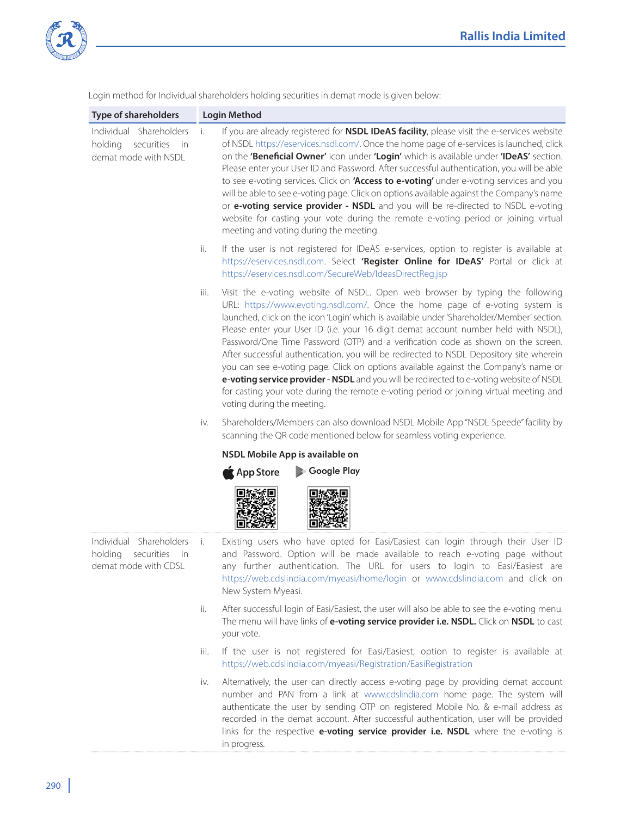

Login method for Individual shareholders holding securities in demat mode is given below:

| <b>Type of shareholders</b>                                                     | <b>Login Method</b>             |                                                                                                                                                                                                                                                                                                                                                                                                                                                                                                                                                                                                                                                                                                                                                                                                                                            |  |
|---------------------------------------------------------------------------------|---------------------------------|--------------------------------------------------------------------------------------------------------------------------------------------------------------------------------------------------------------------------------------------------------------------------------------------------------------------------------------------------------------------------------------------------------------------------------------------------------------------------------------------------------------------------------------------------------------------------------------------------------------------------------------------------------------------------------------------------------------------------------------------------------------------------------------------------------------------------------------------|--|
| Individual Shareholders<br>holding securities<br>- in<br>demat mode with NSDL   | i.                              | If you are already registered for <b>NSDL IDeAS facility</b> , please visit the e-services website<br>of NSDL https://eservices.nsdl.com/. Once the home page of e-services is launched, click<br>on the 'Beneficial Owner' icon under 'Login' which is available under 'IDeAS' section.<br>Please enter your User ID and Password. After successful authentication, you will be able<br>to see e-voting services. Click on 'Access to e-voting' under e-voting services and you<br>will be able to see e-voting page. Click on options available against the Company's name<br>or e-voting service provider - NSDL and you will be re-directed to NSDL e-voting<br>website for casting your vote during the remote e-voting period or joining virtual<br>meeting and voting during the meeting.                                           |  |
|                                                                                 | ii.                             | If the user is not registered for IDeAS e-services, option to register is available at<br>https://eservices.nsdl.com. Select 'Register Online for IDeAS' Portal or click at<br>https://eservices.nsdl.com/SecureWeb/IdeasDirectReg.jsp                                                                                                                                                                                                                                                                                                                                                                                                                                                                                                                                                                                                     |  |
|                                                                                 | iii.                            | Visit the e-voting website of NSDL. Open web browser by typing the following<br>URL: https://www.evoting.nsdl.com/. Once the home page of e-voting system is<br>launched, click on the icon 'Login' which is available under 'Shareholder/Member' section.<br>Please enter your User ID (i.e. your 16 digit demat account number held with NSDL),<br>Password/One Time Password (OTP) and a verification code as shown on the screen.<br>After successful authentication, you will be redirected to NSDL Depository site wherein<br>you can see e-voting page. Click on options available against the Company's name or<br>e-voting service provider - NSDL and you will be redirected to e-voting website of NSDL<br>for casting your vote during the remote e-voting period or joining virtual meeting and<br>voting during the meeting. |  |
|                                                                                 | iv.                             | Shareholders/Members can also download NSDL Mobile App "NSDL Speede" facility by<br>scanning the QR code mentioned below for seamless voting experience.                                                                                                                                                                                                                                                                                                                                                                                                                                                                                                                                                                                                                                                                                   |  |
|                                                                                 | NSDL Mobile App is available on |                                                                                                                                                                                                                                                                                                                                                                                                                                                                                                                                                                                                                                                                                                                                                                                                                                            |  |
|                                                                                 |                                 | Google Play<br>$\triangle$ App Store                                                                                                                                                                                                                                                                                                                                                                                                                                                                                                                                                                                                                                                                                                                                                                                                       |  |
| Individual Shareholders<br>holding<br>securities<br>in.<br>demat mode with CDSL | i.                              | Existing users who have opted for Easi/Easiest can login through their User ID<br>and Password. Option will be made available to reach e-voting page without<br>any further authentication. The URL for users to login to Easi/Easiest are<br>https://web.cdslindia.com/myeasi/home/login or www.cdslindia.com and click on<br>New System Myeasi.                                                                                                                                                                                                                                                                                                                                                                                                                                                                                          |  |
|                                                                                 | ii.                             | After successful login of Easi/Easiest, the user will also be able to see the e-voting menu.<br>The menu will have links of e-voting service provider i.e. NSDL. Click on NSDL to cast<br>your vote.                                                                                                                                                                                                                                                                                                                                                                                                                                                                                                                                                                                                                                       |  |
|                                                                                 | iii.                            | If the user is not registered for Easi/Easiest, option to register is available at<br>https://web.cdslindia.com/myeasi/Registration/EasiRegistration                                                                                                                                                                                                                                                                                                                                                                                                                                                                                                                                                                                                                                                                                       |  |
|                                                                                 | iv.                             | Alternatively, the user can directly access e-voting page by providing demat account<br>number and PAN from a link at www.cdslindia.com home page. The system will<br>authoriticate the user by sending OTP on registered Mobile No. 8. e-mail address as                                                                                                                                                                                                                                                                                                                                                                                                                                                                                                                                                                                  |  |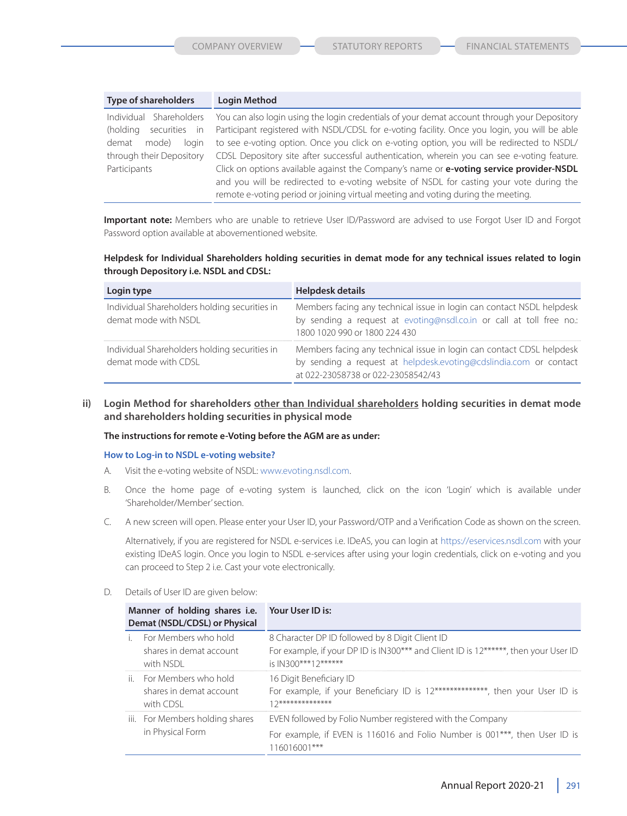| <b>Type of shareholders</b> | <b>Login Method</b>                                                                           |
|-----------------------------|-----------------------------------------------------------------------------------------------|
| Individual Shareholders     | You can also login using the login credentials of your demat account through your Depository  |
| (holding<br>securities in   | Participant registered with NSDL/CDSL for e-voting facility. Once you login, you will be able |
| demat<br>login<br>mode)     | to see e-voting option. Once you click on e-voting option, you will be redirected to NSDL/    |
| through their Depository    | CDSL Depository site after successful authentication, wherein you can see e-voting feature.   |
| Participants                | Click on options available against the Company's name or e-voting service provider-NSDL       |
|                             | and you will be redirected to e-voting website of NSDL for casting your vote during the       |
|                             | remote e-voting period or joining virtual meeting and voting during the meeting.              |

 **Important note:** Members who are unable to retrieve User ID/Password are advised to use Forgot User ID and Forgot Password option available at abovementioned website.

## **Helpdesk for Individual Shareholders holding securities in demat mode for any technical issues related to login through Depository i.e. NSDL and CDSL:**

| Login type                                                            | Helpdesk details                                                                                                                                                                 |  |  |
|-----------------------------------------------------------------------|----------------------------------------------------------------------------------------------------------------------------------------------------------------------------------|--|--|
| Individual Shareholders holding securities in<br>demat mode with NSDL | Members facing any technical issue in login can contact NSDL helpdesk<br>by sending a request at evoting@nsdl.co.in or call at toll free no.:<br>1800 1020 990 or 1800 224 430   |  |  |
| Individual Shareholders holding securities in<br>demat mode with CDSL | Members facing any technical issue in login can contact CDSL helpdesk<br>by sending a request at helpdesk.evoting@cdslindia.com or contact<br>at 022-23058738 or 022-23058542/43 |  |  |

**ii) Login Method for shareholders other than Individual shareholders holding securities in demat mode and shareholders holding securities in physical mode**

#### **The instructions for remote e-Voting before the AGM are as under:**

#### **How to Log-in to NSDL e-voting website?**

- A. Visit the e-voting website of NSDL: www.evoting.nsdl.com.
- B. Once the home page of e-voting system is launched, click on the icon 'Login' which is available under 'Shareholder/Member' section.
- C. A new screen will open. Please enter your User ID, your Password/OTP and a Verification Code as shown on the screen.

 Alternatively, if you are registered for NSDL e-services i.e. IDeAS, you can login at https://eservices.nsdl.com with your existing IDeAS login. Once you login to NSDL e-services after using your login credentials, click on e-voting and you can proceed to Step 2 i.e. Cast your vote electronically.

D. Details of User ID are given below:

| Manner of holding shares i.e. Your User ID is:<br>Demat (NSDL/CDSL) or Physical |                                                                  |                                                                                                                                                               |  |
|---------------------------------------------------------------------------------|------------------------------------------------------------------|---------------------------------------------------------------------------------------------------------------------------------------------------------------|--|
|                                                                                 | For Members who hold<br>shares in demat account<br>with NSDI     | 8 Character DP ID followed by 8 Digit Client ID<br>For example, if your DP ID is IN300*** and Client ID is 12******, then your User ID<br>is IN300***12****** |  |
|                                                                                 | ii. For Members who hold<br>shares in demat account<br>with CDSL | 16 Digit Beneficiary ID<br>For example, if your Beneficiary ID is 12**************, then your User ID is<br>$17**********************$                        |  |
|                                                                                 | iii. For Members holding shares<br>in Physical Form              | EVEN followed by Folio Number registered with the Company<br>For example, if EVEN is 116016 and Folio Number is 001***, then User ID is<br>116016001***       |  |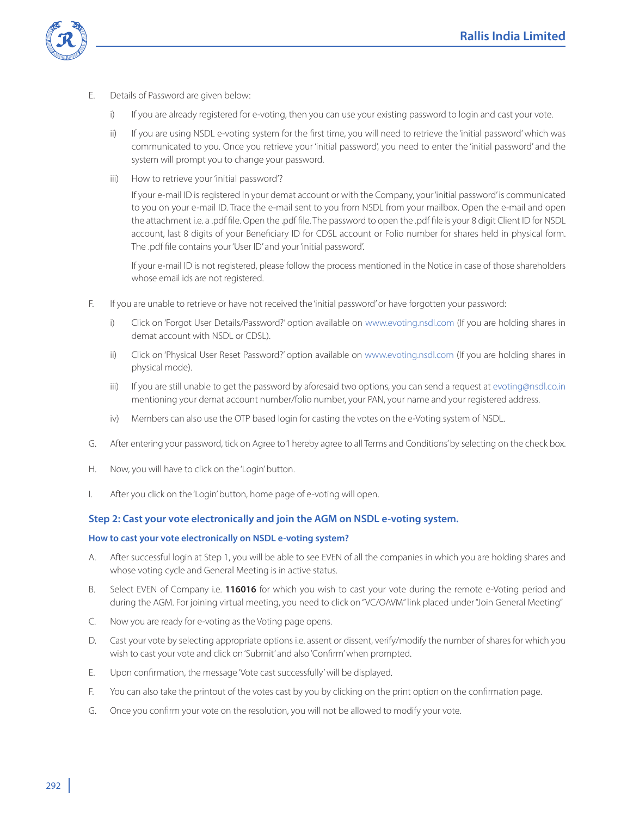

- E. Details of Password are given below:
	- i) If you are already registered for e-voting, then you can use your existing password to login and cast your vote.
	- ii) If you are using NSDL e-voting system for the first time, you will need to retrieve the 'initial password' which was communicated to you. Once you retrieve your 'initial password', you need to enter the 'initial password' and the system will prompt you to change your password.
	- iii) How to retrieve your 'initial password'?

 If your e-mail ID is registered in your demat account or with the Company, your 'initial password' is communicated to you on your e-mail ID. Trace the e-mail sent to you from NSDL from your mailbox. Open the e-mail and open the attachment i.e. a .pdf file. Open the .pdf file. The password to open the .pdf file is your 8 digit Client ID for NSDL account, last 8 digits of your Beneficiary ID for CDSL account or Folio number for shares held in physical form. The .pdf file contains your 'User ID' and your 'initial password'.

 If your e-mail ID is not registered, please follow the process mentioned in the Notice in case of those shareholders whose email ids are not registered.

- F. If you are unable to retrieve or have not received the 'initial password' or have forgotten your password:
	- i) Click on 'Forgot User Details/Password?' option available on www.evoting.nsdl.com (If you are holding shares in demat account with NSDL or CDSL).
	- ii) Click on 'Physical User Reset Password?' option available on www.evoting.nsdl.com (If you are holding shares in physical mode).
	- iii) If you are still unable to get the password by aforesaid two options, you can send a request at evoting@nsdl.co.in mentioning your demat account number/folio number, your PAN, your name and your registered address.
	- iv) Members can also use the OTP based login for casting the votes on the e-Voting system of NSDL.
- G. After entering your password, tick on Agree to 'I hereby agree to all Terms and Conditions' by selecting on the check box.
- H. Now, you will have to click on the 'Login' button.
- I. After you click on the 'Login' button, home page of e-voting will open.

# **Step 2: Cast your vote electronically and join the AGM on NSDL e-voting system.**

### **How to cast your vote electronically on NSDL e-voting system?**

- A. After successful login at Step 1, you will be able to see EVEN of all the companies in which you are holding shares and whose voting cycle and General Meeting is in active status.
- B. Select EVEN of Company i.e. **116016** for which you wish to cast your vote during the remote e-Voting period and during the AGM. For joining virtual meeting, you need to click on "VC/OAVM" link placed under "Join General Meeting"
- C. Now you are ready for e-voting as the Voting page opens.
- D. Cast your vote by selecting appropriate options i.e. assent or dissent, verify/modify the number of shares for which you wish to cast your vote and click on 'Submit' and also 'Confirm' when prompted.
- E. Upon confirmation, the message 'Vote cast successfully' will be displayed.
- F. You can also take the printout of the votes cast by you by clicking on the print option on the confirmation page.
- G. Once you confirm your vote on the resolution, you will not be allowed to modify your vote.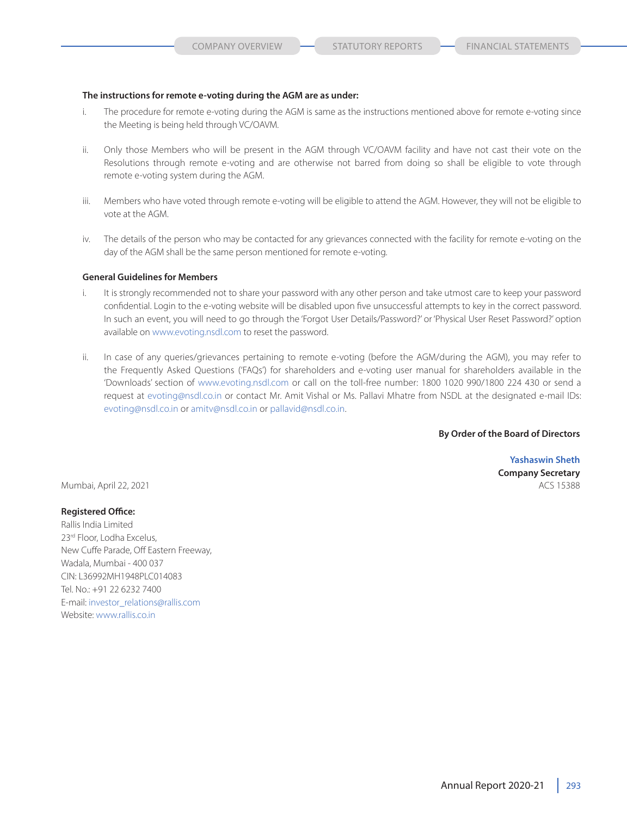#### **The instructions for remote e-voting during the AGM are as under:**

- i. The procedure for remote e-voting during the AGM is same as the instructions mentioned above for remote e-voting since the Meeting is being held through VC/OAVM.
- ii. Only those Members who will be present in the AGM through VC/OAVM facility and have not cast their vote on the Resolutions through remote e-voting and are otherwise not barred from doing so shall be eligible to vote through remote e-voting system during the AGM.
- iii. Members who have voted through remote e-voting will be eligible to attend the AGM. However, they will not be eligible to vote at the AGM.
- iv. The details of the person who may be contacted for any grievances connected with the facility for remote e-voting on the day of the AGM shall be the same person mentioned for remote e-voting.

#### **General Guidelines for Members**

- i. It is strongly recommended not to share your password with any other person and take utmost care to keep your password confidential. Login to the e-voting website will be disabled upon five unsuccessful attempts to key in the correct password. In such an event, you will need to go through the 'Forgot User Details/Password?' or 'Physical User Reset Password?' option available on www.evoting.nsdl.com to reset the password.
- ii. In case of any queries/grievances pertaining to remote e-voting (before the AGM/during the AGM), you may refer to the Frequently Asked Questions ('FAQs') for shareholders and e-voting user manual for shareholders available in the 'Downloads' section of www.evoting.nsdl.com or call on the toll-free number: 1800 1020 990/1800 224 430 or send a request at evoting@nsdl.co.in or contact Mr. Amit Vishal or Ms. Pallavi Mhatre from NSDL at the designated e-mail IDs: evoting@nsdl.co.in or amitv@nsdl.co.in or pallavid@nsdl.co.in.

### **By Order of the Board of Directors**

**Yashaswin Sheth Company Secretary**

Mumbai, April 22, 2021 **ACS 15388** ACS 15388

#### **Registered Office:**

Rallis India Limited 23rd Floor, Lodha Excelus, New Cuffe Parade, Off Eastern Freeway, Wadala, Mumbai - 400 037 CIN: L36992MH1948PLC014083 Tel. No.: +91 22 6232 7400 E-mail: investor\_relations@rallis.com Website: www.rallis.co.in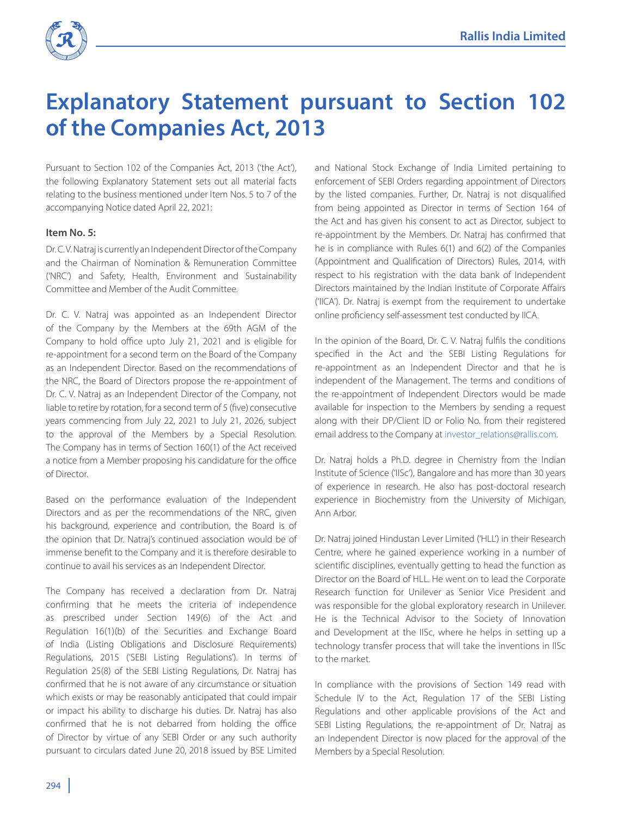

# **Explanatory Statement pursuant to Section 102 of the Companies Act, 2013**

Pursuant to Section 102 of the Companies Act, 2013 ('the Act'), the following Explanatory Statement sets out all material facts relating to the business mentioned under Item Nos. 5 to 7 of the accompanying Notice dated April 22, 2021:

# **Item No. 5:**

Dr. C. V. Natraj is currently an Independent Director of the Company and the Chairman of Nomination & Remuneration Committee ('NRC') and Safety, Health, Environment and Sustainability Committee and Member of the Audit Committee.

Dr. C. V. Natraj was appointed as an Independent Director of the Company by the Members at the 69th AGM of the Company to hold office upto July 21, 2021 and is eligible for re-appointment for a second term on the Board of the Company as an Independent Director. Based on the recommendations of the NRC, the Board of Directors propose the re-appointment of Dr. C. V. Natraj as an Independent Director of the Company, not liable to retire by rotation, for a second term of 5 (five) consecutive years commencing from July 22, 2021 to July 21, 2026, subject to the approval of the Members by a Special Resolution. The Company has in terms of Section 160(1) of the Act received a notice from a Member proposing his candidature for the office of Director.

Based on the performance evaluation of the Independent Directors and as per the recommendations of the NRC, given his background, experience and contribution, the Board is of the opinion that Dr. Natraj's continued association would be of immense benefit to the Company and it is therefore desirable to continue to avail his services as an Independent Director.

The Company has received a declaration from Dr. Natraj confirming that he meets the criteria of independence as prescribed under Section 149(6) of the Act and Regulation 16(1)(b) of the Securities and Exchange Board of India (Listing Obligations and Disclosure Requirements) Regulations, 2015 ('SEBI Listing Regulations'). In terms of Regulation 25(8) of the SEBI Listing Regulations, Dr. Natraj has confirmed that he is not aware of any circumstance or situation which exists or may be reasonably anticipated that could impair or impact his ability to discharge his duties. Dr. Natraj has also confirmed that he is not debarred from holding the office of Director by virtue of any SEBI Order or any such authority pursuant to circulars dated June 20, 2018 issued by BSE Limited

and National Stock Exchange of India Limited pertaining to enforcement of SEBI Orders regarding appointment of Directors by the listed companies. Further, Dr. Natraj is not disqualified from being appointed as Director in terms of Section 164 of the Act and has given his consent to act as Director, subject to re-appointment by the Members. Dr. Natraj has confirmed that he is in compliance with Rules 6(1) and 6(2) of the Companies (Appointment and Qualification of Directors) Rules, 2014, with respect to his registration with the data bank of Independent Directors maintained by the Indian Institute of Corporate Affairs ('IICA'). Dr. Natraj is exempt from the requirement to undertake online proficiency self-assessment test conducted by IICA.

In the opinion of the Board, Dr. C. V. Natraj fulfils the conditions specified in the Act and the SEBI Listing Regulations for re-appointment as an Independent Director and that he is independent of the Management. The terms and conditions of the re-appointment of Independent Directors would be made available for inspection to the Members by sending a request along with their DP/Client ID or Folio No. from their registered email address to the Company at investor\_relations@rallis.com.

Dr. Natraj holds a Ph.D. degree in Chemistry from the Indian Institute of Science ('IISc'), Bangalore and has more than 30 years of experience in research. He also has post-doctoral research experience in Biochemistry from the University of Michigan, Ann Arbor.

Dr. Natraj joined Hindustan Lever Limited ('HLL') in their Research Centre, where he gained experience working in a number of scientific disciplines, eventually getting to head the function as Director on the Board of HLL. He went on to lead the Corporate Research function for Unilever as Senior Vice President and was responsible for the global exploratory research in Unilever. He is the Technical Advisor to the Society of Innovation and Development at the IISc, where he helps in setting up a technology transfer process that will take the inventions in IISc to the market.

In compliance with the provisions of Section 149 read with Schedule IV to the Act, Regulation 17 of the SEBI Listing Regulations and other applicable provisions of the Act and SEBI Listing Regulations, the re-appointment of Dr. Natraj as an Independent Director is now placed for the approval of the Members by a Special Resolution.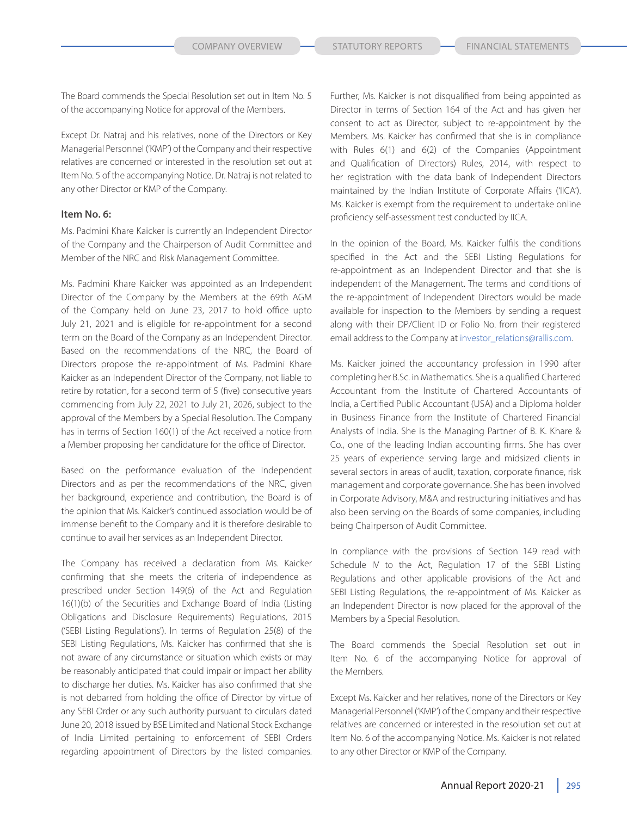The Board commends the Special Resolution set out in Item No. 5 of the accompanying Notice for approval of the Members.

Except Dr. Natraj and his relatives, none of the Directors or Key Managerial Personnel ('KMP') of the Company and their respective relatives are concerned or interested in the resolution set out at Item No. 5 of the accompanying Notice. Dr. Natraj is not related to any other Director or KMP of the Company.

#### **Item No. 6:**

Ms. Padmini Khare Kaicker is currently an Independent Director of the Company and the Chairperson of Audit Committee and Member of the NRC and Risk Management Committee.

Ms. Padmini Khare Kaicker was appointed as an Independent Director of the Company by the Members at the 69th AGM of the Company held on June 23, 2017 to hold office upto July 21, 2021 and is eligible for re-appointment for a second term on the Board of the Company as an Independent Director. Based on the recommendations of the NRC, the Board of Directors propose the re-appointment of Ms. Padmini Khare Kaicker as an Independent Director of the Company, not liable to retire by rotation, for a second term of 5 (five) consecutive years commencing from July 22, 2021 to July 21, 2026, subject to the approval of the Members by a Special Resolution. The Company has in terms of Section 160(1) of the Act received a notice from a Member proposing her candidature for the office of Director.

Based on the performance evaluation of the Independent Directors and as per the recommendations of the NRC, given her background, experience and contribution, the Board is of the opinion that Ms. Kaicker's continued association would be of immense benefit to the Company and it is therefore desirable to continue to avail her services as an Independent Director.

The Company has received a declaration from Ms. Kaicker confirming that she meets the criteria of independence as prescribed under Section 149(6) of the Act and Regulation 16(1)(b) of the Securities and Exchange Board of India (Listing Obligations and Disclosure Requirements) Regulations, 2015 ('SEBI Listing Regulations'). In terms of Regulation 25(8) of the SEBI Listing Regulations, Ms. Kaicker has confirmed that she is not aware of any circumstance or situation which exists or may be reasonably anticipated that could impair or impact her ability to discharge her duties. Ms. Kaicker has also confirmed that she is not debarred from holding the office of Director by virtue of any SEBI Order or any such authority pursuant to circulars dated June 20, 2018 issued by BSE Limited and National Stock Exchange of India Limited pertaining to enforcement of SEBI Orders regarding appointment of Directors by the listed companies.

Further, Ms. Kaicker is not disqualified from being appointed as Director in terms of Section 164 of the Act and has given her consent to act as Director, subject to re-appointment by the Members. Ms. Kaicker has confirmed that she is in compliance with Rules 6(1) and 6(2) of the Companies (Appointment and Qualification of Directors) Rules, 2014, with respect to her registration with the data bank of Independent Directors maintained by the Indian Institute of Corporate Affairs ('IICA'). Ms. Kaicker is exempt from the requirement to undertake online proficiency self-assessment test conducted by IICA.

In the opinion of the Board, Ms. Kaicker fulfils the conditions specified in the Act and the SEBI Listing Regulations for re-appointment as an Independent Director and that she is independent of the Management. The terms and conditions of the re-appointment of Independent Directors would be made available for inspection to the Members by sending a request along with their DP/Client ID or Folio No. from their registered email address to the Company at investor\_relations@rallis.com.

Ms. Kaicker joined the accountancy profession in 1990 after completing her B.Sc. in Mathematics. She is a qualified Chartered Accountant from the Institute of Chartered Accountants of India, a Certified Public Accountant (USA) and a Diploma holder in Business Finance from the Institute of Chartered Financial Analysts of India. She is the Managing Partner of B. K. Khare & Co., one of the leading Indian accounting firms. She has over 25 years of experience serving large and midsized clients in several sectors in areas of audit, taxation, corporate finance, risk management and corporate governance. She has been involved in Corporate Advisory, M&A and restructuring initiatives and has also been serving on the Boards of some companies, including being Chairperson of Audit Committee.

In compliance with the provisions of Section 149 read with Schedule IV to the Act, Regulation 17 of the SEBI Listing Regulations and other applicable provisions of the Act and SEBI Listing Regulations, the re-appointment of Ms. Kaicker as an Independent Director is now placed for the approval of the Members by a Special Resolution.

The Board commends the Special Resolution set out in Item No. 6 of the accompanying Notice for approval of the Members.

Except Ms. Kaicker and her relatives, none of the Directors or Key Managerial Personnel ('KMP') of the Company and their respective relatives are concerned or interested in the resolution set out at Item No. 6 of the accompanying Notice. Ms. Kaicker is not related to any other Director or KMP of the Company.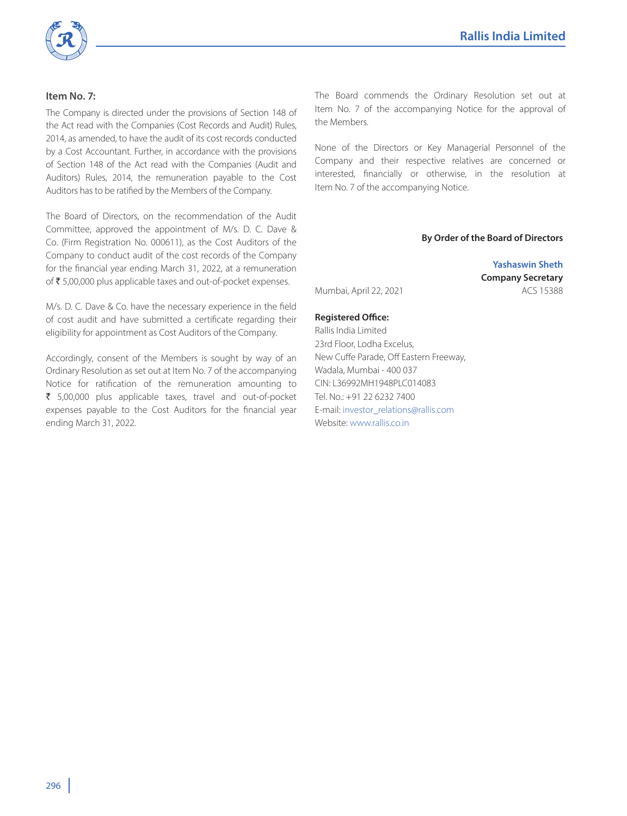

# **Item No. 7:**

The Company is directed under the provisions of Section 148 of the Act read with the Companies (Cost Records and Audit) Rules, 2014, as amended, to have the audit of its cost records conducted by a Cost Accountant. Further, in accordance with the provisions of Section 148 of the Act read with the Companies (Audit and Auditors) Rules, 2014, the remuneration payable to the Cost Auditors has to be ratified by the Members of the Company.

The Board of Directors, on the recommendation of the Audit Committee, approved the appointment of M/s. D. C. Dave & Co. (Firm Registration No. 000611), as the Cost Auditors of the Company to conduct audit of the cost records of the Company for the financial year ending March 31, 2022, at a remuneration of  $\bar{\tau}$  5,00,000 plus applicable taxes and out-of-pocket expenses.

M/s. D. C. Dave & Co. have the necessary experience in the field of cost audit and have submitted a certificate regarding their eligibility for appointment as Cost Auditors of the Company.

Accordingly, consent of the Members is sought by way of an Ordinary Resolution as set out at Item No. 7 of the accompanying Notice for ratification of the remuneration amounting to  $\bar{\tau}$  5,00,000 plus applicable taxes, travel and out-of-pocket expenses payable to the Cost Auditors for the financial year ending March 31, 2022.

The Board commends the Ordinary Resolution set out at Item No. 7 of the accompanying Notice for the approval of the Members.

None of the Directors or Key Managerial Personnel of the Company and their respective relatives are concerned or interested, financially or otherwise, in the resolution at Item No. 7 of the accompanying Notice.

#### **By Order of the Board of Directors**

**Yashaswin Sheth Company Secretary** Mumbai, April 22, 2021 Mumbai, ACS 15388

## **Registered Office:**

Rallis India Limited 23rd Floor, Lodha Excelus, New Cuffe Parade, Off Eastern Freeway, Wadala, Mumbai - 400 037 CIN: L36992MH1948PLC014083 Tel. No.: +91 22 6232 7400 E-mail: investor\_relations@rallis.com Website: www.rallis.co.in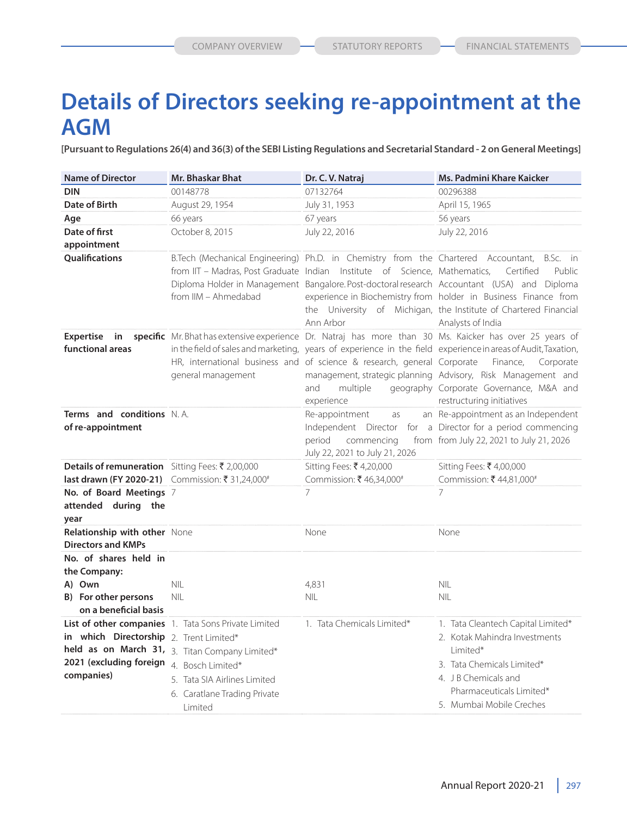# **Details of Directors seeking re-appointment at the AGM**

**[Pursuant to Regulations 26(4) and 36(3) of the SEBI Listing Regulations and Secretarial Standard - 2 on General Meetings]**

| <b>Name of Director</b>                                                                          | <b>Mr. Bhaskar Bhat</b>                                                                                                                                                                                | Dr. C. V. Natraj                                                                                         | Ms. Padmini Khare Kaicker                                                                                                                                                                                                                                                                                                                                                                 |
|--------------------------------------------------------------------------------------------------|--------------------------------------------------------------------------------------------------------------------------------------------------------------------------------------------------------|----------------------------------------------------------------------------------------------------------|-------------------------------------------------------------------------------------------------------------------------------------------------------------------------------------------------------------------------------------------------------------------------------------------------------------------------------------------------------------------------------------------|
| <b>DIN</b>                                                                                       | 00148778                                                                                                                                                                                               | 07132764                                                                                                 | 00296388                                                                                                                                                                                                                                                                                                                                                                                  |
| Date of Birth                                                                                    | August 29, 1954                                                                                                                                                                                        | July 31, 1953                                                                                            | April 15, 1965                                                                                                                                                                                                                                                                                                                                                                            |
| Age                                                                                              | 66 years                                                                                                                                                                                               | 67 years                                                                                                 | 56 years                                                                                                                                                                                                                                                                                                                                                                                  |
| Date of first                                                                                    | October 8, 2015                                                                                                                                                                                        | July 22, 2016                                                                                            | July 22, 2016                                                                                                                                                                                                                                                                                                                                                                             |
| appointment                                                                                      |                                                                                                                                                                                                        |                                                                                                          |                                                                                                                                                                                                                                                                                                                                                                                           |
| <b>Oualifications</b>                                                                            | from IIM - Ahmedabad                                                                                                                                                                                   | from IIT - Madras, Post Graduate Indian Institute of Science, Mathematics,<br>Ann Arbor                  | B.Tech (Mechanical Engineering) Ph.D. in Chemistry from the Chartered Accountant, B.Sc. in<br>Certified<br>Public<br>Diploma Holder in Management Bangalore. Post-doctoral research Accountant (USA) and Diploma<br>experience in Biochemistry from holder in Business Finance from<br>the University of Michigan, the Institute of Chartered Financial<br>Analysts of India              |
| <b>Expertise</b><br>in<br>functional areas                                                       | general management                                                                                                                                                                                     | HR, international business and of science & research, general Corporate<br>and<br>multiple<br>experience | specific Mr. Bhat has extensive experience Dr. Natraj has more than 30 Ms. Kaicker has over 25 years of<br>in the field of sales and marketing, years of experience in the field experience in areas of Audit, Taxation,<br>Finance,<br>Corporate<br>management, strategic planning Advisory, Risk Management and<br>geography Corporate Governance, M&A and<br>restructuring initiatives |
| <b>Terms and conditions N.A.</b><br>of re-appointment                                            |                                                                                                                                                                                                        | Re-appointment<br>as<br>commencing<br>period<br>July 22, 2021 to July 21, 2026                           | an Re-appointment as an Independent<br>Independent Director for a Director for a period commencing<br>from from July 22, 2021 to July 21, 2026                                                                                                                                                                                                                                            |
| Details of remuneration Sitting Fees: ₹ 2,00,000                                                 |                                                                                                                                                                                                        | Sitting Fees: ₹ 4,20,000                                                                                 | Sitting Fees: ₹ 4,00,000                                                                                                                                                                                                                                                                                                                                                                  |
| last drawn (FY 2020-21) Commission: ₹ 31,24,000#                                                 |                                                                                                                                                                                                        | Commission: ₹46,34,000#                                                                                  | Commission: ₹44,81,000#                                                                                                                                                                                                                                                                                                                                                                   |
| No. of Board Meetings 7<br>attended during the<br>year                                           |                                                                                                                                                                                                        | 7                                                                                                        | 7                                                                                                                                                                                                                                                                                                                                                                                         |
| Relationship with other None<br><b>Directors and KMPs</b>                                        |                                                                                                                                                                                                        | None                                                                                                     | None                                                                                                                                                                                                                                                                                                                                                                                      |
| No. of shares held in<br>the Company:<br>A) Own<br>B) For other persons<br>on a beneficial basis | <b>NIL</b><br>NII                                                                                                                                                                                      | 4,831<br><b>NIL</b>                                                                                      | <b>NIL</b><br><b>NIL</b>                                                                                                                                                                                                                                                                                                                                                                  |
| in which Directorship 2. Trent Limited*<br>2021 (excluding foreign<br>companies)                 | List of other companies 1. Tata Sons Private Limited<br>held as on March 31, 3. Titan Company Limited*<br>4. Bosch Limited*<br>5. Tata SIA Airlines Limited<br>6. Caratlane Trading Private<br>Limited | 1. Tata Chemicals Limited*                                                                               | 1. Tata Cleantech Capital Limited*<br>2. Kotak Mahindra Investments<br>Limited*<br>3. Tata Chemicals Limited*<br>4. J B Chemicals and<br>Pharmaceuticals Limited*<br>5. Mumbai Mobile Creches                                                                                                                                                                                             |